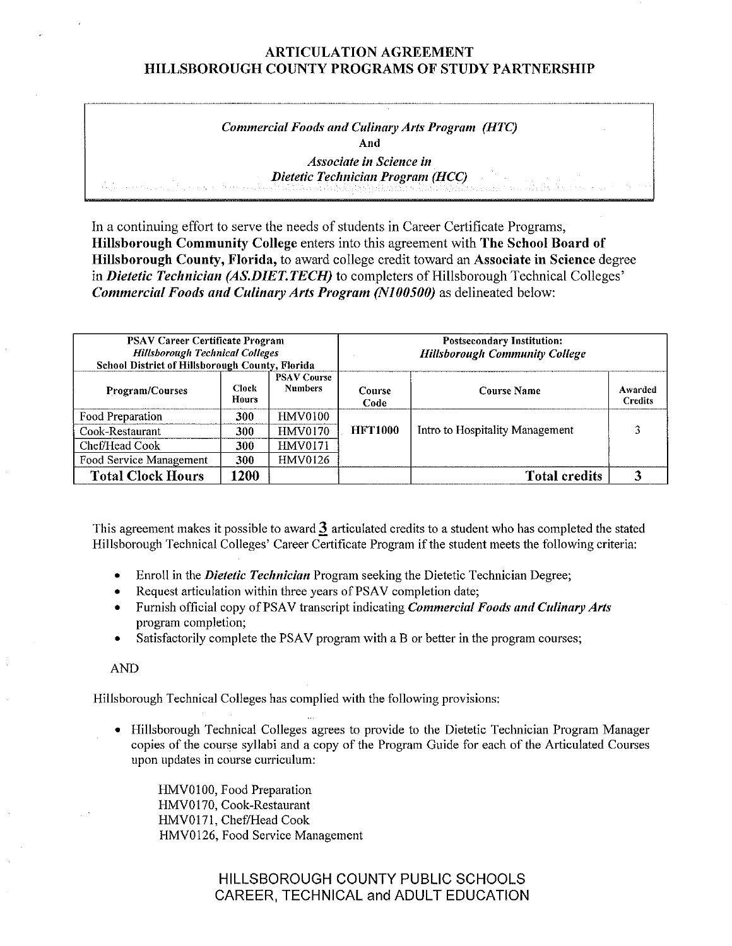### *Commercial Foods and Culinary Arts Program (HTC)*  **And**  *Associate in Science in*

*Dietetic Technician Program (HCC)* 

In a continuing effort to serve the needs of students in Career Certificate Programs, **Hillsborough Community College** enters into this agreement with **The School Board of Hillsborough County, Florida,** to award college credit toward an **Associate in Science** degree in *Dietetic Technician (AS.DIET.TECH)* to completers of Hillsborough Technical Colleges' *Commercial Foods and Culinary Arts Program* **(NJ** *00500)* as delineated below:

| <b>PSAV Career Certificate Program</b><br><b>Hillsborough Technical Colleges</b><br>School District of Hillsborough County, Florida |                              |                                      | <b>Postsecondary Institution:</b><br><b>Hillsborough Community College</b> |                                 |                           |  |
|-------------------------------------------------------------------------------------------------------------------------------------|------------------------------|--------------------------------------|----------------------------------------------------------------------------|---------------------------------|---------------------------|--|
| <b>Program/Courses</b>                                                                                                              | <b>Clock</b><br><b>Hours</b> | <b>PSAV Course</b><br><b>Numbers</b> | Course<br>Code                                                             | <b>Course Name</b>              | Awarded<br><b>Credits</b> |  |
| Food Preparation                                                                                                                    | 300                          | HMV0100                              |                                                                            |                                 |                           |  |
| Cook-Restaurant                                                                                                                     | 300                          | <b>HMV0170</b>                       | <b>HFT1000</b>                                                             | Intro to Hospitality Management |                           |  |
| Chef/Head Cook                                                                                                                      | 300                          | <b>HMV0171</b>                       |                                                                            |                                 |                           |  |
| Food Service Management                                                                                                             | 300                          | <b>HMV0126</b>                       |                                                                            |                                 |                           |  |
| <b>Total Clock Hours</b>                                                                                                            | 1200                         |                                      |                                                                            | <b>Total credits</b>            |                           |  |

This agreement makes it possible to award **J** articulated credits to a student who has completed the stated Hillsborough Technical Colleges' Career Certificate Program ifthe student meets the following criteria:

- Enroll in the *Dietetic Technician* Program seeking the Dietetic Technician Degree;
- Request articulation within three years of PSAV completion date;
- Furnish official copy of PSA V transcript indicating *Commercial Foods and Culinary Arts*  program completion;
- Satisfactorily complete the PSAV program with a B or better in the program courses;

AND

Hillsborough Technical Colleges has complied with the following provisions:

• Hillsborough Technical Colleges agrees to provide to the Dietetic Technician Program Manager copies of the course syllabi and a copy of the Program Guide for each of the Articulated Courses upon updates in course curriculum:

HMV0IO0, Food Preparation HMV0170, Cook-Restaurant HMV0171, Chef/Head Cook HMV0126, Food Service Management

> HILLSBOROUGH COUNTY PUBLIC SCHOOLS CAREER, TECHNICAL and ADULT EDUCATION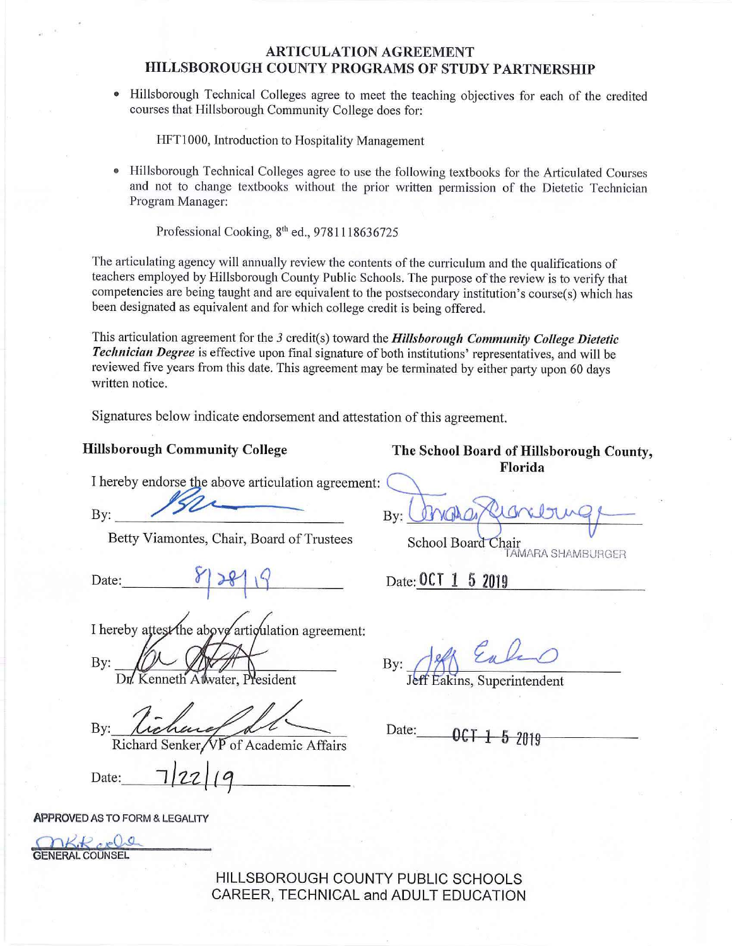• Hillsborough Technical Colleges agree to meet the teaching objectives for each of the credited courses that Hillsborough Community College does for:

HFTl000, Introduction to Hospitality Management

• Hillsborough Technical Colleges agree to use the following textbooks for the Articulated Courses and not to change textbooks without the prior written permission of the Dietetic Technician Program Manager:

Professional Cooking,  $8^{th}$  ed., 9781118636725

The articulating agency will annually review the contents of the curriculum and the qualifications of teachers employed by Hillsborough County Public Schools. The purpose of the review is to verify that competencies are being taught and are equivalent to the postsecondary institution's course(s) which has been designated as equivalent and for which college credit is being offered.

This articulation agreement for the *3* credit(s) toward the *Hillsborough Community College Dietetic Technician Degree* is effective upon final signature of both institutions' representatives, and will be reviewed five years from this date. This agreement may be terminated by either party upon 60 days written notice.

Signatures below indicate endorsement and attestation of this agreement.

I hereby endorse the above articulation agreement:

Betty Viamontes, Chair, Board of Trustees School Board Chair

Date:  $\begin{array}{c} \text{Date:} \\ \text{Date:} \end{array}$   $\begin{array}{c} \text{Date: } 0 \text{ CT} \\ 1 \text{ 5} \\ 2019 \end{array}$ 

I hereby attest the above articulation agreement:

By:

Kenneth Atwater, President

By: *Lichene*<br>Richard Senker/VP of Academic Affair

**APPROVED** ASTO FORM & LEGALITY

nkk ocle GENERAL COUNSEL

HILLSBOROUGH COUNTY PUBLIC SCHOOLS CAREER, TECHNICAL and ADULT EDUCATION

Hillsborough Community College The School Board of Hillsborough County, **Florida** 

By: Bridge By: **marging** 

TAMARA SHAMBURGCR

**By: ~ ~** 

Eakins, Superintendent

Date: 0CT 1 5 2019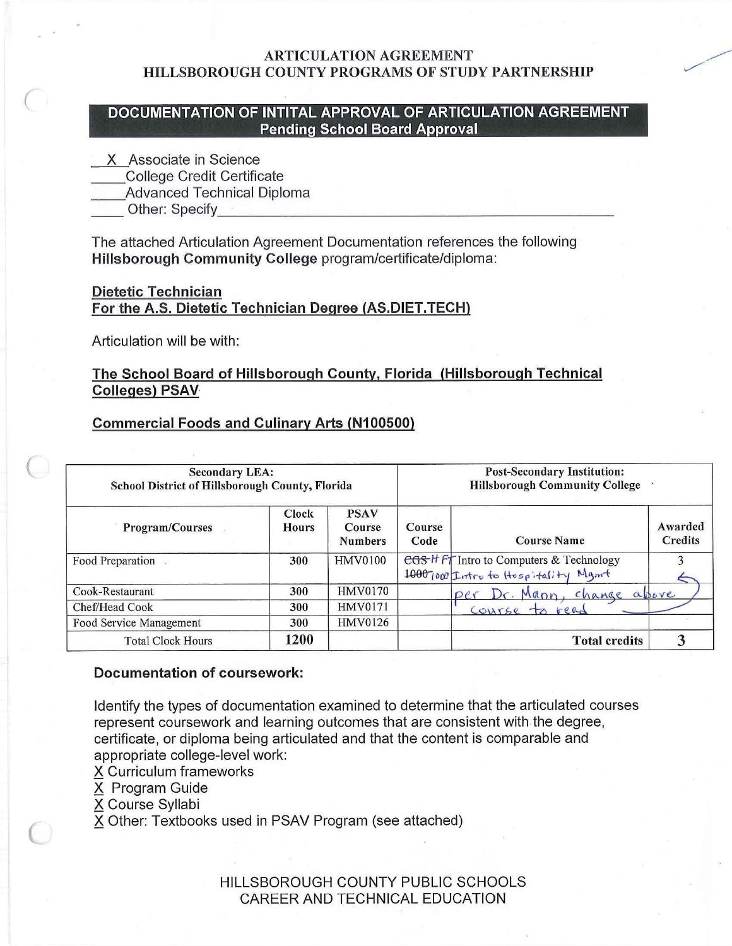## *(* **DOCUMENTATION OF INTITAL APPROVAL OF ARTICULATION AGREEMENT Pending School Board Approval**

- X Associate in Science
- \_\_College Credit Certificate
- \_\_Advanced Technical Diploma
- Other: Specify **Execute** 2

The attached Articulation Agreement Documentation references the following **Hillsborough Community College** program/certificate/diploma:

## **Dietetic Technician For the A.S. Dietetic Technician Degree (AS.DIET.TECH)**

Articulation will be with:

# **The School Board of Hillsborough County, Florida (Hillsborough Technical Colleges) PSAV**

## **Commercial Foods and Culinary Arts (N100500)**

| <b>Secondary LEA:</b><br>School District of Hillsborough County, Florida |                |                                         |                | <b>Post-Secondary Institution:</b><br><b>Hillsborough Community College</b>     |                           |  |  |
|--------------------------------------------------------------------------|----------------|-----------------------------------------|----------------|---------------------------------------------------------------------------------|---------------------------|--|--|
| <b>Program/Courses</b>                                                   | Clock<br>Hours | <b>PSAV</b><br>Course<br><b>Numbers</b> | Course<br>Code | <b>Course Name</b>                                                              | Awarded<br><b>Credits</b> |  |  |
| Food Preparation                                                         | 300            | <b>HMV0100</b>                          |                | egs H Ft Intro to Computers & Technology<br>1000 1000 Intro to Hospitality Mgmt |                           |  |  |
| Cook-Restaurant                                                          | 300            | <b>HMV0170</b>                          |                | $D_f$ . Mapp,<br>change above<br>Dex                                            |                           |  |  |
| Chef/Head Cook                                                           | 300            | HMV0171                                 |                | Course to<br>600                                                                |                           |  |  |
| Food Service Management                                                  | 300            | <b>HMV0126</b>                          |                |                                                                                 |                           |  |  |
| <b>Total Clock Hours</b>                                                 | 1200           |                                         |                | <b>Total credits</b>                                                            |                           |  |  |

#### **Documentation of coursework:**

Identify the types of documentation examined to determine that the articulated courses represent coursework and learning outcomes that are consistent with the degree, certificate, or diploma being articulated and that the content is comparable and appropriate college-level work:

- X Curriculum frameworks
- X Program Guide
- X Course Syllabi

X Other: Textbooks used in PSAV Program (see attached)

HILLSBOROUGH COUNTY PUBLIC SCHOOLS CAREER AND TECHNICAL EDUCATION